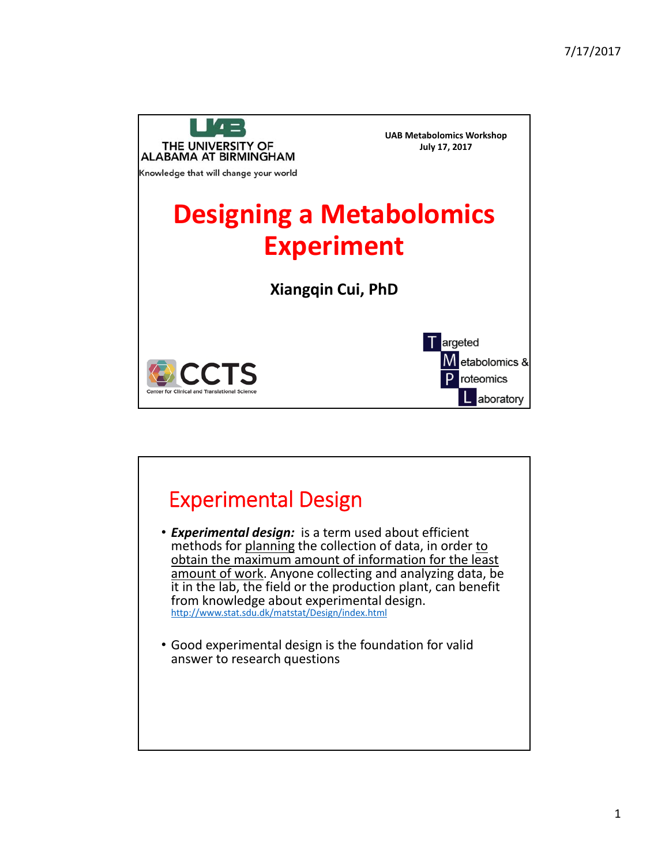

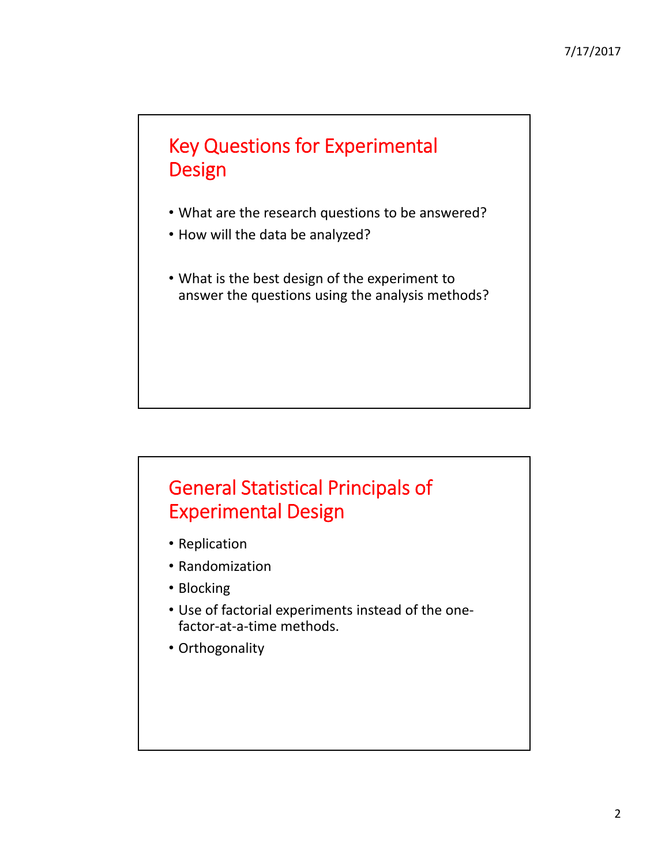## Key Questions for Experimental Design

- What are the research questions to be answered?
- How will the data be analyzed?
- What is the best design of the experiment to answer the questions using the analysis methods?

## General Statistical Principals of Experimental Design

- Replication
- Randomization
- Blocking
- Use of factorial experiments instead of the one‐ factor‐at‐a‐time methods.
- Orthogonality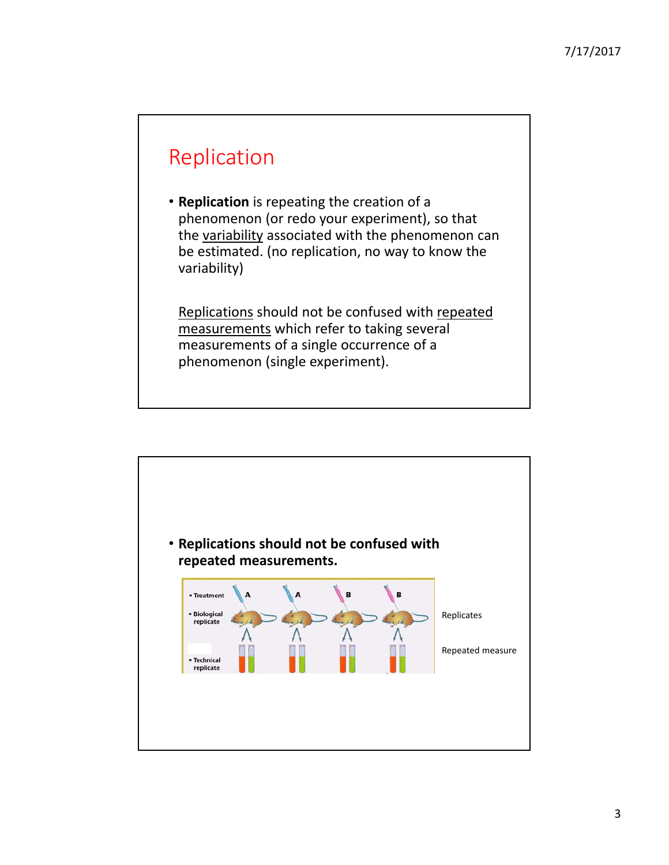# Replication

• **Replication** is repeating the creation of a phenomenon (or redo your experiment), so that the variability associated with the phenomenon can be estimated. (no replication, no way to know the variability)

Replications should not be confused with repeated measurements which refer to taking several measurements of a single occurrence of a phenomenon (single experiment).

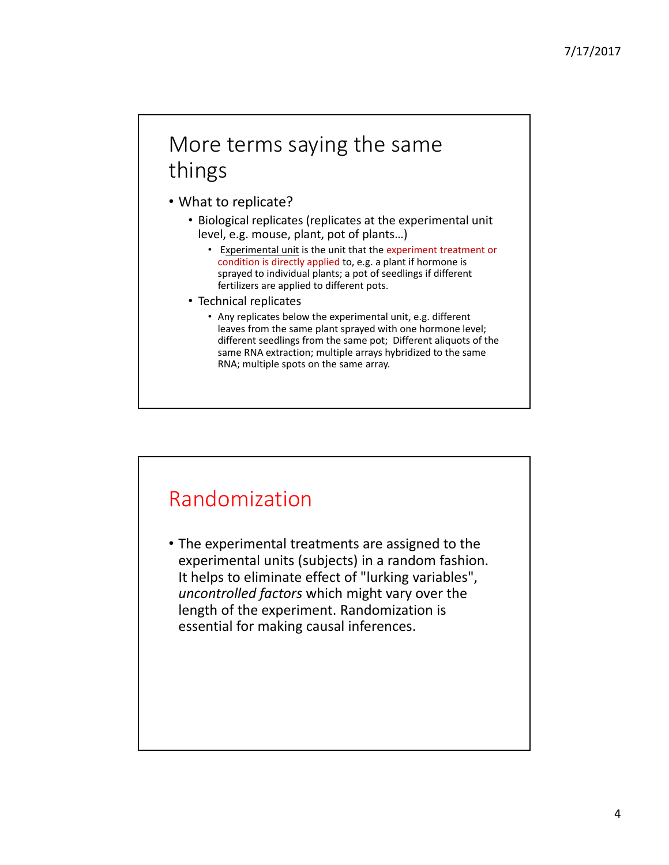# More terms saying the same things

• What to replicate?

- Biological replicates (replicates at the experimental unit level, e.g. mouse, plant, pot of plants…)
	- Experimental unit is the unit that the experiment treatment or condition is directly applied to, e.g. a plant if hormone is sprayed to individual plants; a pot of seedlings if different fertilizers are applied to different pots.
- Technical replicates
	- Any replicates below the experimental unit, e.g. different leaves from the same plant sprayed with one hormone level; different seedlings from the same pot; Different aliquots of the same RNA extraction; multiple arrays hybridized to the same RNA; multiple spots on the same array.

## Randomization

• The experimental treatments are assigned to the experimental units (subjects) in a random fashion. It helps to eliminate effect of "lurking variables", *uncontrolled factors* which might vary over the length of the experiment. Randomization is essential for making causal inferences.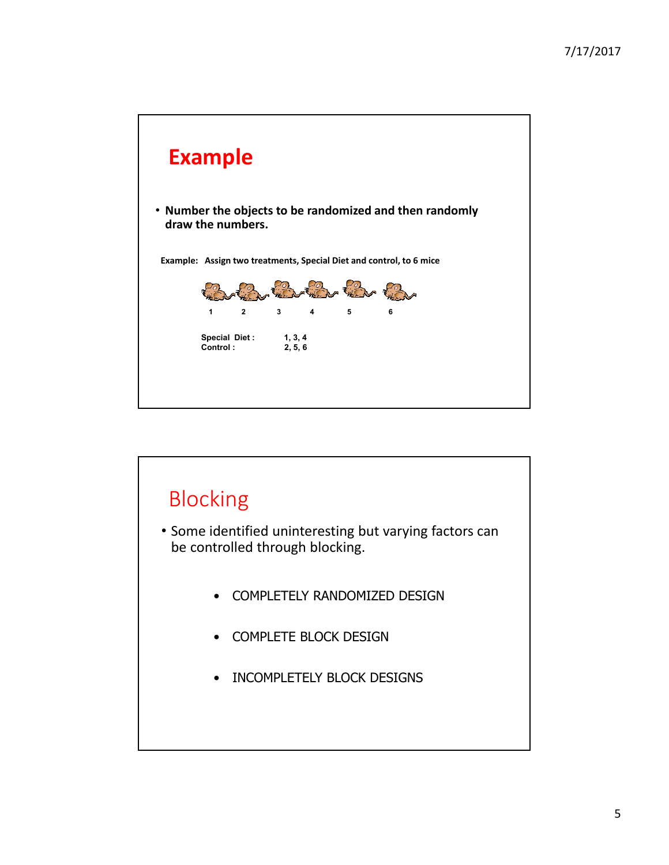

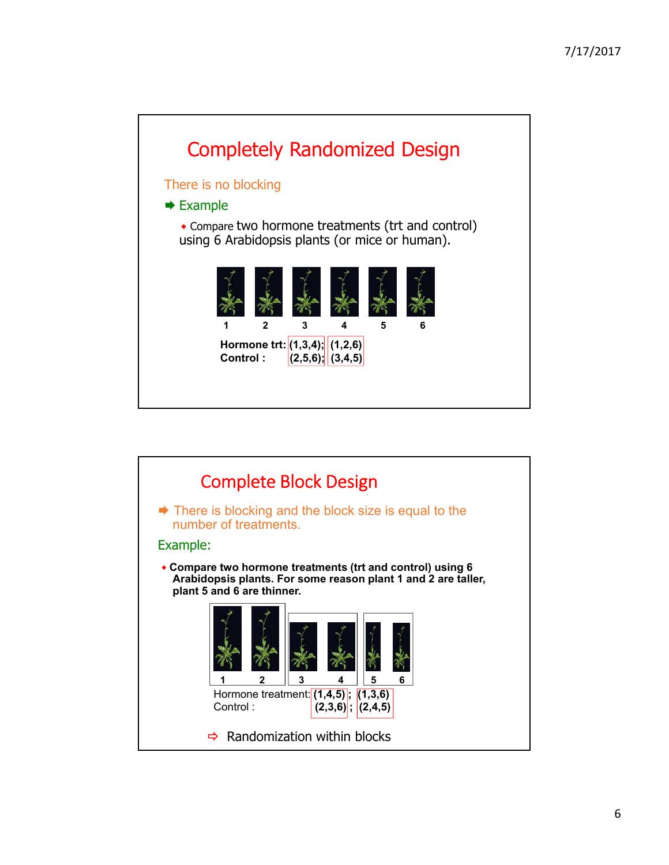

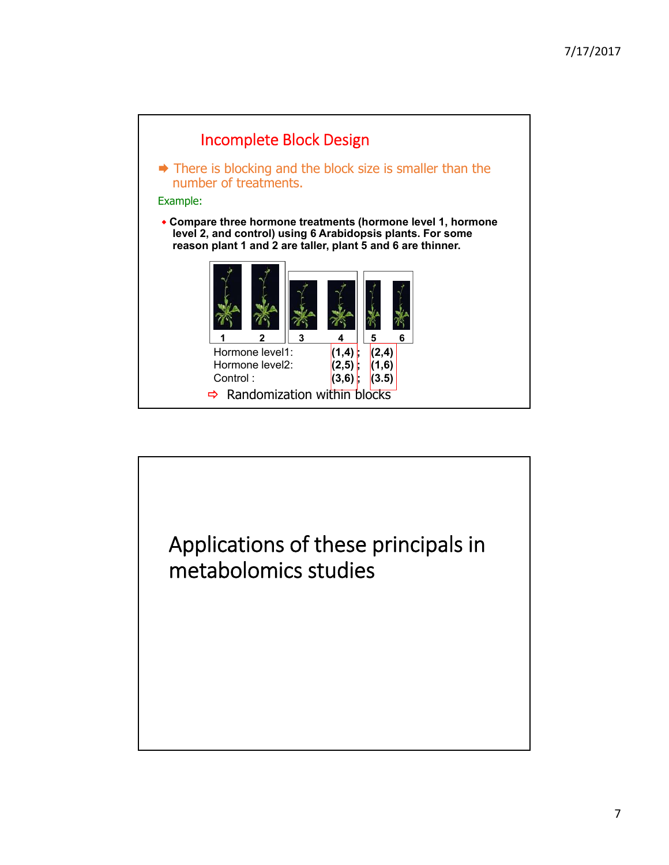

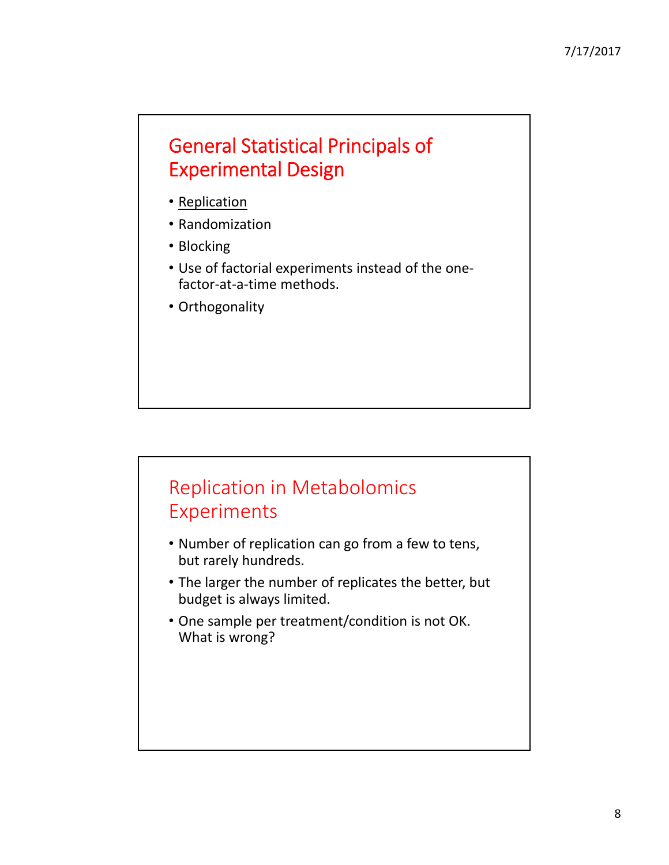#### General Statistical Principals of Experimental Design

- Replication
- Randomization
- Blocking
- Use of factorial experiments instead of the one‐ factor‐at‐a‐time methods.
- Orthogonality

#### Replication in Metabolomics Experiments

- Number of replication can go from a few to tens, but rarely hundreds.
- The larger the number of replicates the better, but budget is always limited.
- One sample per treatment/condition is not OK. What is wrong?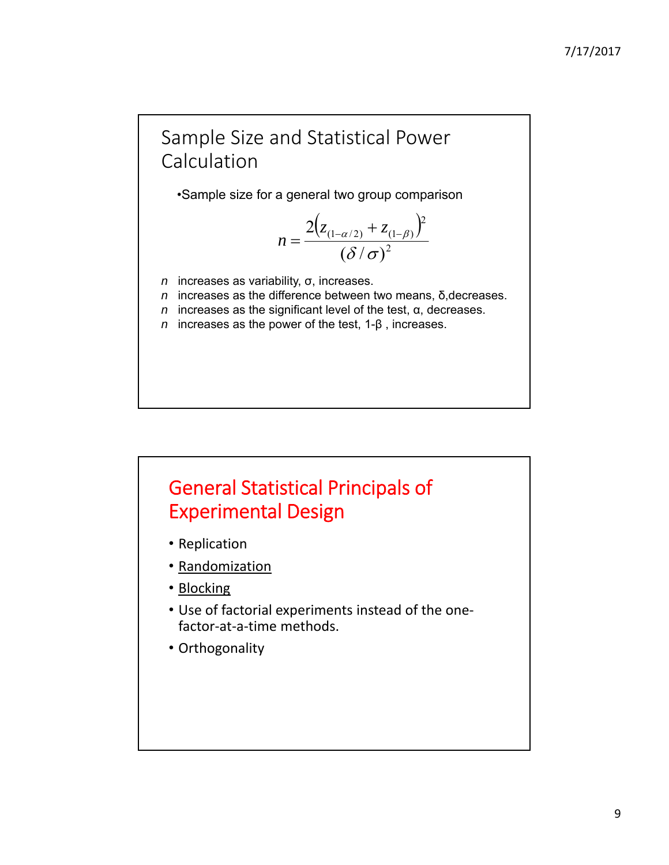#### Sample Size and Statistical Power Calculation

•Sample size for a general two group comparison

$$
n = \frac{2(z_{(1-\alpha/2)} + z_{(1-\beta)})^2}{(\delta/\sigma)^2}
$$

- *n* increases as variability, σ, increases.
- *n* increases as the difference between two means, δ,decreases.
- *n* increases as the significant level of the test, α, decreases.
- *n* increases as the power of the test, 1-β , increases.

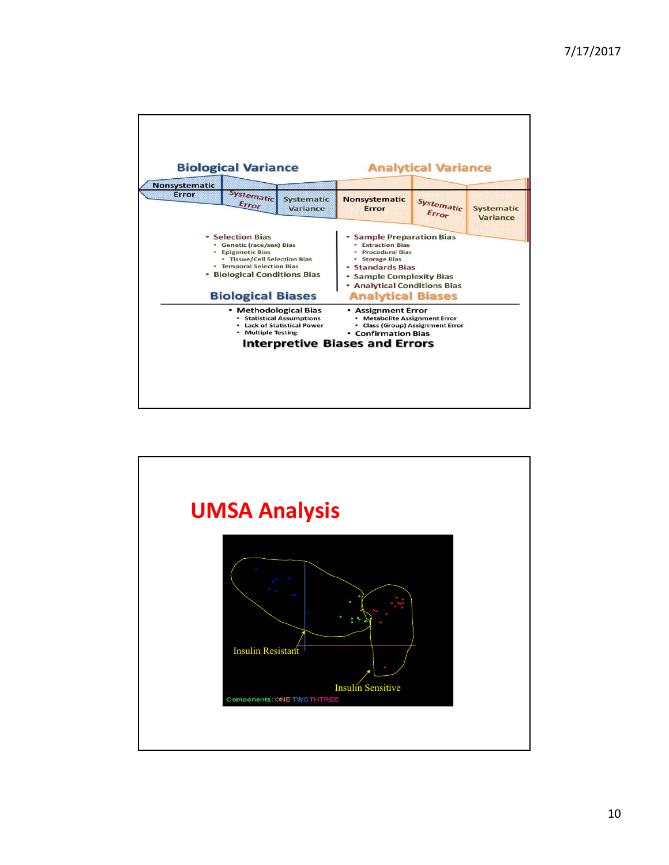| <b>Biological Variance</b>                                                                                                                                                                                                                                                     |                            |                               | <b>Analytical Variance</b>                                                                                                                                                                                         |                     |                               |
|--------------------------------------------------------------------------------------------------------------------------------------------------------------------------------------------------------------------------------------------------------------------------------|----------------------------|-------------------------------|--------------------------------------------------------------------------------------------------------------------------------------------------------------------------------------------------------------------|---------------------|-------------------------------|
| <b>Nonsystematic</b>                                                                                                                                                                                                                                                           |                            |                               |                                                                                                                                                                                                                    |                     |                               |
| Error                                                                                                                                                                                                                                                                          | <b>Systematic</b><br>Error | <b>Systematic</b><br>Variance | <b>Nonsystematic</b><br>Error                                                                                                                                                                                      | Systematic<br>Error | <b>Systematic</b><br>Variance |
| · Selection Bias<br>· Genetic (race/sex) Bias<br><b>*</b> Epigenetic Bias<br>• Tissue/Cell Selection Bias<br>• Temporal Selection Bias<br>• Biological Conditions Bias<br><b>Biological Biases</b>                                                                             |                            |                               | <b>Sample Preparation Bias</b><br><b>• Extraction Bias</b><br><b>Procedural Bias</b><br>· Storage Bias<br>• Standards Bias<br>· Sample Complexity Bias<br>• Analytical Conditions Bias<br><b>Analytical Biases</b> |                     |                               |
| • Methodological Bias<br>• Assignment Error<br>• Statistical Assumptions<br><b>Metabolite Assignment Error</b><br>. Lack of Statistical Power<br>• Class (Group) Assignment Error<br>• Multiple Testing<br><b>• Confirmation Bias</b><br><b>Interpretive Biases and Errors</b> |                            |                               |                                                                                                                                                                                                                    |                     |                               |

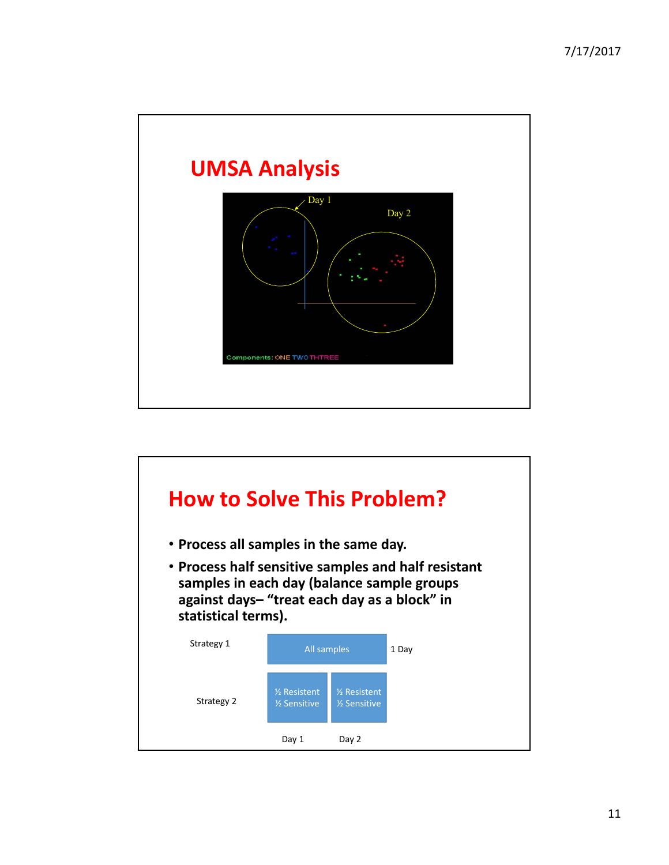

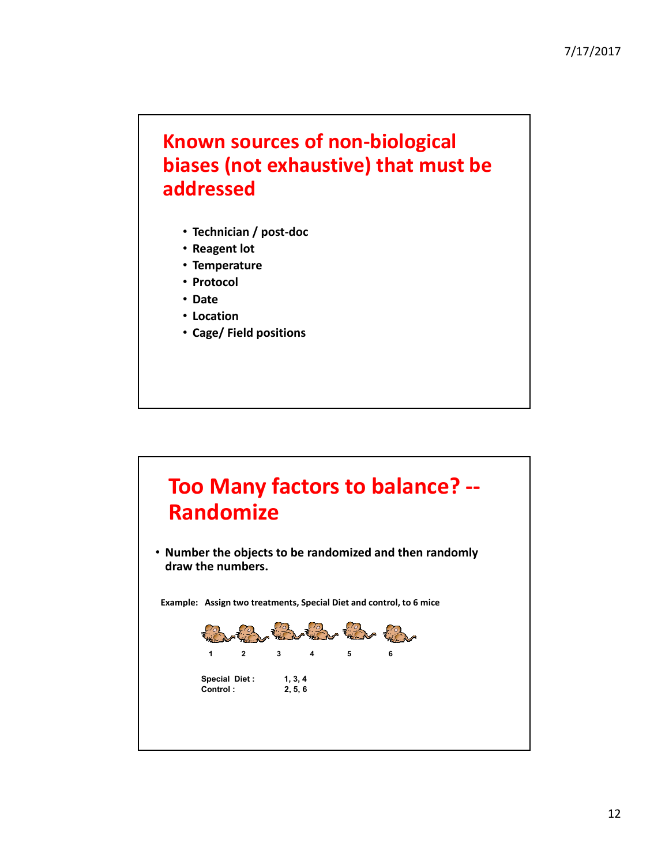#### **Known sources of non‐biological biases (not exhaustive) that must be addressed**

- **Technician / post‐doc**
- **Reagent lot**
- **Temperature**
- **Protocol**
- **Date**
- **Location**
- **Cage/ Field positions**

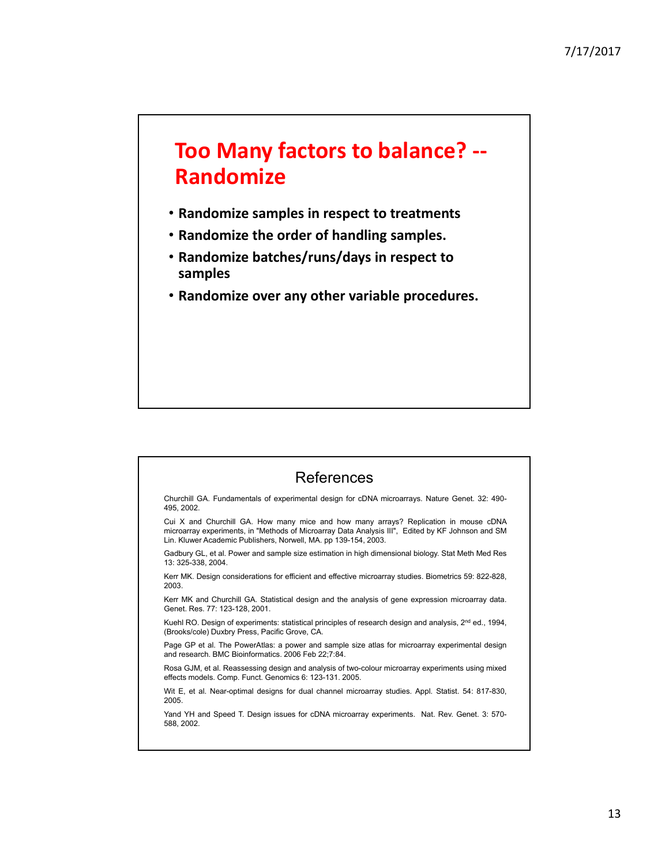# **Too Many factors to balance? ‐‐ Randomize**

- **Randomize samples in respect to treatments**
- **Randomize the order of handling samples.**
- **Randomize batches/runs/days in respect to samples**
- **Randomize over any other variable procedures.**



495, 2002.

Gadbury GL, et al. Power and sample size estimation in high dimensional biology. Stat Meth Med Res 13: 325-338, 2004.

Kerr MK. Design considerations for efficient and effective microarray studies. Biometrics 59: 822-828, 2003.

Kerr MK and Churchill GA. Statistical design and the analysis of gene expression microarray data. Genet. Res. 77: 123-128, 2001.

Kuehl RO. Design of experiments: statistical principles of research design and analysis, 2<sup>nd</sup> ed., 1994, (Brooks/cole) Duxbry Press, Pacific Grove, CA.

Page GP et al. The PowerAtlas: a power and sample size atlas for microarray experimental design and research. BMC Bioinformatics. 2006 Feb 22;7:84.

Rosa GJM, et al. Reassessing design and analysis of two-colour microarray experiments using mixed effects models. Comp. Funct. Genomics 6: 123-131. 2005.

Wit E, et al. Near-optimal designs for dual channel microarray studies. Appl. Statist. 54: 817-830, 2005.

Yand YH and Speed T. Design issues for cDNA microarray experiments. Nat. Rev. Genet. 3: 570- 588, 2002.